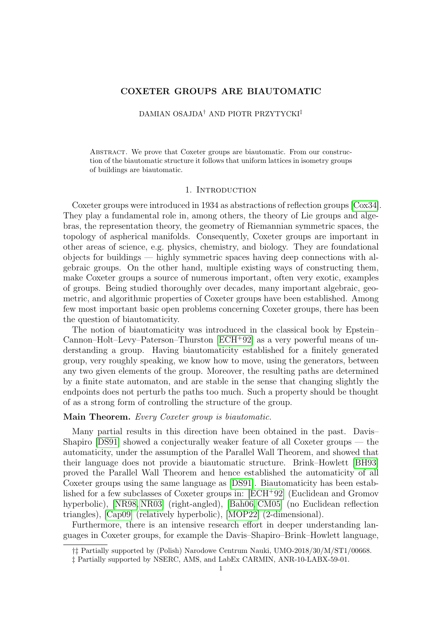# **COXETER GROUPS ARE BIAUTOMATIC**

## DAMIAN OSAJDA† AND PIOTR PRZYTYCKI‡

Abstract. We prove that Coxeter groups are biautomatic. From our construction of the biautomatic structure it follows that uniform lattices in isometry groups of buildings are biautomatic.

### 1. INTRODUCTION

Coxeter groups were introduced in 1934 as abstractions of reflection groups [\[Cox34\]](#page-8-0). They play a fundamental role in, among others, the theory of Lie groups and algebras, the representation theory, the geometry of Riemannian symmetric spaces, the topology of aspherical manifolds. Consequently, Coxeter groups are important in other areas of science, e.g. physics, chemistry, and biology. They are foundational objects for buildings — highly symmetric spaces having deep connections with algebraic groups. On the other hand, multiple existing ways of constructing them, make Coxeter groups a source of numerous important, often very exotic, examples of groups. Being studied thoroughly over decades, many important algebraic, geometric, and algorithmic properties of Coxeter groups have been established. Among few most important basic open problems concerning Coxeter groups, there has been the question of biautomaticity.

The notion of biautomaticity was introduced in the classical book by Epstein– Cannon–Holt–Levy–Paterson–Thurston [\[ECH](#page-8-1)<sup>+</sup>92] as a very powerful means of understanding a group. Having biautomaticity established for a finitely generated group, very roughly speaking, we know how to move, using the generators, between any two given elements of the group. Moreover, the resulting paths are determined by a finite state automaton, and are stable in the sense that changing slightly the endpoints does not perturb the paths too much. Such a property should be thought of as a strong form of controlling the structure of the group.

### **Main Theorem.** *Every Coxeter group is biautomatic.*

Many partial results in this direction have been obtained in the past. Davis– Shapiro [\[DS91\]](#page-8-2) showed a conjecturally weaker feature of all Coxeter groups — the automaticity, under the assumption of the Parallel Wall Theorem, and showed that their language does not provide a biautomatic structure. Brink–Howlett [\[BH93\]](#page-8-3) proved the Parallel Wall Theorem and hence established the automaticity of all Coxeter groups using the same language as [\[DS91\]](#page-8-2). Biautomaticity has been established for a few subclasses of Coxeter groups in: [\[ECH](#page-8-1)<sup>+</sup>92] (Euclidean and Gromov hyperbolic), [\[NR98,](#page-8-4) [NR03\]](#page-8-5) (right-angled), [\[Bah06,](#page-8-6) [CM05\]](#page-8-7) (no Euclidean reflection triangles), [\[Cap09\]](#page-8-8) (relatively hyperbolic), [\[MOP22\]](#page-8-9) (2-dimensional).

Furthermore, there is an intensive research effort in deeper understanding languages in Coxeter groups, for example the Davis–Shapiro–Brink–Howlett language,

<sup>†‡</sup> Partially supported by (Polish) Narodowe Centrum Nauki, UMO-2018/30/M/ST1/00668.

<sup>‡</sup> Partially supported by NSERC, AMS, and LabEx CARMIN, ANR-10-LABX-59-01.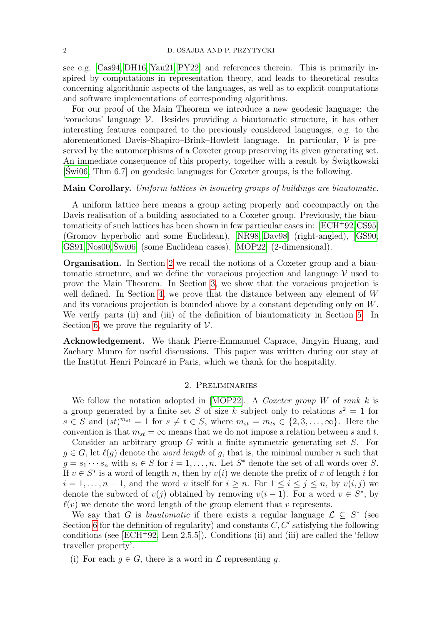see e.g. [\[Cas94,](#page-8-10) [DH16,](#page-8-11) [Yau21,](#page-9-0) [PY22\]](#page-8-12) and references therein. This is primarily inspired by computations in representation theory, and leads to theoretical results concerning algorithmic aspects of the languages, as well as to explicit computations and software implementations of corresponding algorithms.

For our proof of the Main Theorem we introduce a new geodesic language: the 'voracious' language V. Besides providing a biautomatic structure, it has other interesting features compared to the previously considered languages, e.g. to the aforementioned Davis–Shapiro–Brink–Howlett language. In particular,  $\mathcal V$  is preserved by the automorphisms of a Coxeter group preserving its given generating set. An immediate consequence of this property, together with a result by Świątkowski [\[Świ06,](#page-9-1) Thm 6.7] on geodesic languages for Coxeter groups, is the following.

## **Main Corollary.** *Uniform lattices in isometry groups of buildings are biautomatic.*

A uniform lattice here means a group acting properly and cocompactly on the Davis realisation of a building associated to a Coxeter group. Previously, the biautomaticity of such lattices has been shown in few particular cases in: [\[ECH](#page-8-1)<sup>+</sup>92[,CS95\]](#page-8-13) (Gromov hyperbolic and some Euclidean), [\[NR98,](#page-8-4) [Dav98\]](#page-8-14) (right-angled), [\[GS90,](#page-8-15) [GS91,](#page-8-16) [Nos00,](#page-8-17) [Świ06\]](#page-9-1) (some Euclidean cases), [\[MOP22\]](#page-8-9) (2-dimensional).

**Organisation.** In Section [2](#page-1-0) we recall the notions of a Coxeter group and a biautomatic structure, and we define the voracious projection and language  $\mathcal V$  used to prove the Main Theorem. In Section [3,](#page-2-0) we show that the voracious projection is well defined. In Section [4,](#page-5-0) we prove that the distance between any element of W and its voracious projection is bounded above by a constant depending only on W. We verify parts (ii) and (iii) of the definition of biautomaticity in Section [5.](#page-6-0) In Section [6,](#page-7-0) we prove the regularity of  $\mathcal V$ .

**Acknowledgement.** We thank Pierre-Emmanuel Caprace, Jingyin Huang, and Zachary Munro for useful discussions. This paper was written during our stay at the Institut Henri Poincaré in Paris, which we thank for the hospitality.

### 2. Preliminaries

<span id="page-1-0"></span>We follow the notation adopted in [\[MOP22\]](#page-8-9). A *Coxeter group* W of *rank* k is a group generated by a finite set S of size k subject only to relations  $s^2 = 1$  for  $s \in S$  and  $(st)^{m_{st}} = 1$  for  $s \neq t \in S$ , where  $m_{st} = m_{ts} \in \{2, 3, ..., \infty\}$ . Here the convention is that  $m_{st} = \infty$  means that we do not impose a relation between s and t.

Consider an arbitrary group G with a finite symmetric generating set S. For  $g \in G$ , let  $\ell(g)$  denote the *word length* of g, that is, the minimal number n such that  $g = s_1 \cdots s_n$  with  $s_i \in S$  for  $i = 1, \ldots, n$ . Let  $S^*$  denote the set of all words over S. If  $v \in S^*$  is a word of length n, then by  $v(i)$  we denote the prefix of v of length i for  $i = 1, \ldots, n-1$ , and the word v itself for  $i \geq n$ . For  $1 \leq i \leq j \leq n$ , by  $v(i, j)$  we denote the subword of  $v(j)$  obtained by removing  $v(i-1)$ . For a word  $v \in S^*$ , by  $\ell(v)$  we denote the word length of the group element that v represents.

We say that G is *biautomatic* if there exists a regular language  $\mathcal{L} \subseteq S^*$  (see Section [6](#page-7-0) for the definition of regularity) and constants  $C, C'$  satisfying the following conditions (see  $[ECH^+92, \text{ Lem } 2.5.5]$  $[ECH^+92, \text{ Lem } 2.5.5]$ ). Conditions (ii) and (iii) are called the 'fellow traveller property'.

(i) For each  $g \in G$ , there is a word in  $\mathcal L$  representing g.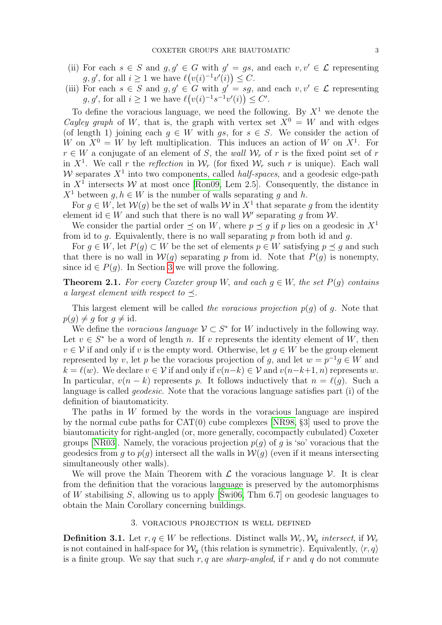- (ii) For each  $s \in S$  and  $g, g' \in G$  with  $g' = gs$ , and each  $v, v' \in \mathcal{L}$  representing  $g, g'$ , for all  $i \geq 1$  we have  $\ell(v(i)^{-1}v'(i)) \leq C$ .
- (iii) For each  $s \in S$  and  $g, g' \in G$  with  $g' = sg$ , and each  $v, v' \in \mathcal{L}$  representing  $g, g'$ , for all  $i \geq 1$  we have  $\ell(v(i)^{-1}s^{-1}v'(i)) \leq C'$ .

To define the voracious language, we need the following. By  $X<sup>1</sup>$  we denote the *Cayley graph* of W, that is, the graph with vertex set  $X^0 = W$  and with edges (of length 1) joining each  $g \in W$  with  $gs$ , for  $s \in S$ . We consider the action of W on  $X^0 = W$  by left multiplication. This induces an action of W on  $X^1$ . For  $r \in W$  a conjugate of an element of S, the *wall*  $W_r$  of r is the fixed point set of r in  $X^1$ . We call r the reflection in  $\mathcal{W}_r$  (for fixed  $\mathcal{W}_r$  such r is unique). Each wall W separates  $X<sup>1</sup>$  into two components, called *half-spaces*, and a geodesic edge-path in  $X<sup>1</sup>$  intersects W at most once [\[Ron09,](#page-9-2) Lem 2.5]. Consequently, the distance in  $X^1$  between  $q, h \in W$  is the number of walls separating g and h.

For  $g \in W$ , let  $\mathcal{W}(g)$  be the set of walls  $\mathcal{W}$  in  $X^1$  that separate g from the identity element id  $\in W$  and such that there is no wall  $\mathcal{W}'$  separating g from  $\mathcal{W}$ .

We consider the partial order  $\preceq$  on W, where  $p \preceq q$  if p lies on a geodesic in  $X^1$ from id to g. Equivalently, there is no wall separating  $p$  from both id and  $q$ .

For  $g \in W$ , let  $P(g) \subset W$  be the set of elements  $p \in W$  satisfying  $p \preceq g$  and such that there is no wall in  $W(q)$  separating p from id. Note that  $P(q)$  is nonempty, since id  $\in P(q)$ . In Section [3](#page-2-0) we will prove the following.

<span id="page-2-1"></span>**Theorem 2.1.** For every Coxeter group W, and each  $q \in W$ , the set  $P(q)$  contains *a largest element with respect to*  $\prec$ .

This largest element will be called *the voracious projection*  $p(q)$  of q. Note that  $p(g) \neq g$  for  $g \neq id$ .

We define the *voracious language*  $V \subset S^*$  for W inductively in the following way. Let  $v \in S^*$  be a word of length n. If v represents the identity element of W, then  $v \in V$  if and only if v is the empty word. Otherwise, let  $g \in W$  be the group element represented by v, let p be the voracious projection of g, and let  $w = p^{-1}g \in W$  and  $k = \ell(w)$ . We declare  $v \in V$  if and only if  $v(n-k) \in V$  and  $v(n-k+1, n)$  represents w. In particular,  $v(n - k)$  represents p. It follows inductively that  $n = \ell(q)$ . Such a language is called *geodesic*. Note that the voracious language satisfies part (i) of the definition of biautomaticity.

The paths in W formed by the words in the voracious language are inspired by the normal cube paths for CAT(0) cube complexes [\[NR98,](#page-8-4) §3] used to prove the biautomaticity for right-angled (or, more generally, cocompactly cubulated) Coxeter groups [\[NR03\]](#page-8-5). Namely, the voracious projection  $p(q)$  of q is 'so' voracious that the geodesics from q to  $p(q)$  intersect all the walls in  $W(q)$  (even if it means intersecting simultaneously other walls).

We will prove the Main Theorem with  $\mathcal L$  the voracious language  $\mathcal V$ . It is clear from the definition that the voracious language is preserved by the automorphisms of W stabilising S, allowing us to apply [\[Świ06,](#page-9-1) Thm 6.7] on geodesic languages to obtain the Main Corollary concerning buildings.

## 3. voracious projection is well defined

<span id="page-2-0"></span>**Definition 3.1.** Let  $r, q \in W$  be reflections. Distinct walls  $\mathcal{W}_r, \mathcal{W}_q$  *intersect*, if  $\mathcal{W}_r$ is not contained in half-space for  $\mathcal{W}_q$  (this relation is symmetric). Equivalently,  $\langle r, q \rangle$ is a finite group. We say that such  $r, q$  are *sharp-angled*, if r and q do not commute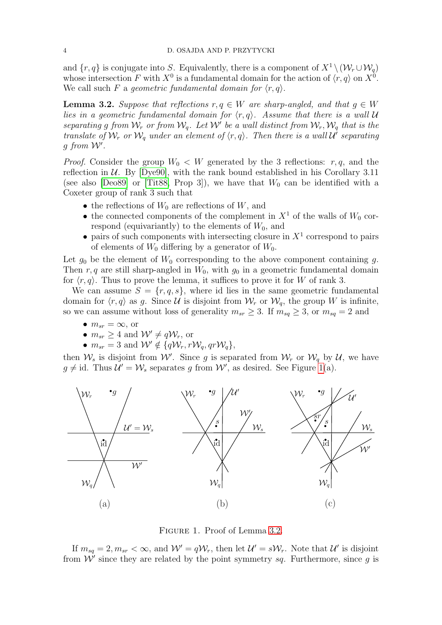and  $\{r, q\}$  is conjugate into S. Equivalently, there is a component of  $X^1 \setminus (W_r \cup W_q)$ whose intersection F with  $X^0$  is a fundamental domain for the action of  $\langle r, q \rangle$  on  $X^0$ . We call such F a *geometric fundamental domain for*  $\langle r, q \rangle$ .

<span id="page-3-1"></span>**Lemma 3.2.** *Suppose that reflections*  $r, q \in W$  *are sharp-angled, and that*  $q \in W$ *lies in a geometric fundamental domain for*  $\langle r, q \rangle$ *. Assume that there is a wall* U separating g from  $W_r$  or from  $W_q$ . Let  $W'$  be a wall distinct from  $W_r, W_q$  that is the *translate of*  $W_r$  *or*  $W_q$  *under an element of*  $\langle r, q \rangle$ *. Then there is a wall*  $U^i$  *separating*  $g$  from  $W'$ .

*Proof.* Consider the group  $W_0 \n\langle W \rangle$  generated by the 3 reflections: r, q, and the reflection in  $U$ . By [\[Dye90\]](#page-8-18), with the rank bound established in his Corollary 3.11 (see also [\[Deo89\]](#page-8-19) or [\[Tit88,](#page-9-3) Prop 3]), we have that  $W_0$  can be identified with a Coxeter group of rank 3 such that

- the reflections of  $W_0$  are reflections of  $W$ , and
- the connected components of the complement in  $X^1$  of the walls of  $W_0$  correspond (equivariantly) to the elements of  $W_0$ , and
- pairs of such components with intersecting closure in  $X<sup>1</sup>$  correspond to pairs of elements of  $W_0$  differing by a generator of  $W_0$ .

Let  $g_0$  be the element of  $W_0$  corresponding to the above component containing g. Then r, q are still sharp-angled in  $W_0$ , with  $g_0$  in a geometric fundamental domain for  $\langle r, q \rangle$ . Thus to prove the lemma, it suffices to prove it for W of rank 3.

We can assume  $S = \{r, q, s\}$ , where id lies in the same geometric fundamental domain for  $\langle r, q \rangle$  as g. Since U is disjoint from  $\mathcal{W}_r$  or  $\mathcal{W}_q$ , the group W is infinite, so we can assume without loss of generality  $m_{sr} \geq 3$ . If  $m_{sq} \geq 3$ , or  $m_{sq} = 2$  and

- $m_{sr} = \infty$ , or
- $m_{sr} \geq 4$  and  $\mathcal{W}' \neq q\mathcal{W}_r$ , or
- $m_{sr} = 3$  and  $W' \notin \{ q\mathcal{W}_r, r\mathcal{W}_q, qr\mathcal{W}_q \},$

then  $\mathcal{W}_s$  is disjoint from  $\mathcal{W}'$ . Since g is separated from  $\mathcal{W}_r$  or  $\mathcal{W}_q$  by  $\mathcal{U}$ , we have  $g \neq id$ . Thus  $\mathcal{U}' = \mathcal{W}_s$  separates g from  $\mathcal{W}'$ , as desired. See Figure [1\(](#page-3-0)a).



<span id="page-3-0"></span>Figure 1. Proof of Lemma [3.2.](#page-3-1)

If  $m_{sq} = 2, m_{sr} < \infty$ , and  $W' = qW_r$ , then let  $\mathcal{U}' = sW_r$ . Note that  $\mathcal{U}'$  is disjoint from  $\mathcal{W}'$  since they are related by the point symmetry sq. Furthermore, since g is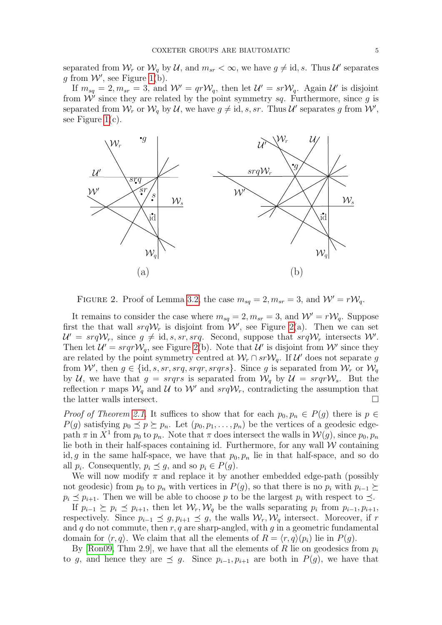separated from  $\mathcal{W}_r$  or  $\mathcal{W}_q$  by U, and  $m_{sr} < \infty$ , we have  $g \neq id$ , s. Thus U' separates g from  $W'$ , see Figure [1\(](#page-3-0)b).

If  $m_{sq} = 2, m_{sr} = 3$ , and  $W' = qrW_q$ , then let  $\mathcal{U}' = srW_q$ . Again  $\mathcal{U}'$  is disjoint from  $\mathcal{W}'$  since they are related by the point symmetry sq. Furthermore, since g is separated from  $\mathcal{W}_r$  or  $\mathcal{W}_q$  by U, we have  $g \neq id$ , s, sr. Thus U' separates g from  $\mathcal{W}'$ , see Figure  $1(c)$ .



<span id="page-4-0"></span>FIGURE 2. Proof of Lemma [3.2,](#page-3-1) the case  $m_{sq} = 2, m_{sr} = 3$ , and  $W' = rW_q$ .

It remains to consider the case where  $m_{sq} = 2, m_{sr} = 3$ , and  $W' = rW_q$ . Suppose first the that wall  $srqW_r$  is disjoint from W', see Figure [2\(](#page-4-0)a). Then we can set  $\mathcal{U}' = \text{srqW}_r$ , since  $g \neq id$ , s, sr, srq. Second, suppose that  $\text{srqW}_r$  intersects W'. Then let  $\mathcal{U}' = \text{srqrW}_q$ , see Figure [2\(](#page-4-0)b). Note that  $\mathcal{U}'$  is disjoint from W' since they are related by the point symmetry centred at  $W_r \cap srW_q$ . If U' does not separate g from W', then  $g \in \{\text{id}, s, sr, srq, srqr, srqrs\}$ . Since g is separated from  $\mathcal{W}_r$  or  $\mathcal{W}_q$ by U, we have that  $g = \text{srqrs}$  is separated from  $\mathcal{W}_q$  by  $\mathcal{U} = \text{srqrW}_s$ . But the reflection r maps  $\mathcal{W}_q$  and  $\mathcal{U}$  to  $\mathcal{W}'$  and  $srq\mathcal{W}_r$ , contradicting the assumption that the latter walls intersect.

*Proof of Theorem [2.1.](#page-2-1)* It suffices to show that for each  $p_0, p_n \in P(g)$  there is  $p \in P(g)$  $P(g)$  satisfying  $p_0 \preceq p \succeq p_n$ . Let  $(p_0, p_1, \ldots, p_n)$  be the vertices of a geodesic edgepath  $\pi$  in  $X^1$  from  $p_0$  to  $p_n$ . Note that  $\pi$  does intersect the walls in  $\mathcal{W}(g)$ , since  $p_0, p_n$ lie both in their half-spaces containing id. Furthermore, for any wall  $W$  containing id, g in the same half-space, we have that  $p_0, p_n$  lie in that half-space, and so do all  $p_i$ . Consequently,  $p_i \preceq g$ , and so  $p_i \in P(g)$ .

We will now modify  $\pi$  and replace it by another embedded edge-path (possibly not geodesic) from  $p_0$  to  $p_n$  with vertices in  $P(g)$ , so that there is no  $p_i$  with  $p_{i-1} \succeq$  $p_i \preceq p_{i+1}$ . Then we will be able to choose p to be the largest  $p_i$  with respect to  $\preceq$ .

If  $p_{i-1} \succeq p_i \preceq p_{i+1}$ , then let  $\mathcal{W}_r, \mathcal{W}_q$  be the walls separating  $p_i$  from  $p_{i-1}, p_{i+1}$ , respectively. Since  $p_{i-1} \preceq g, p_{i+1} \preceq g$ , the walls  $W_r, W_q$  intersect. Moreover, if r and q do not commute, then r, q are sharp-angled, with q in a geometric fundamental domain for  $\langle r, q \rangle$ . We claim that all the elements of  $R = \langle r, q \rangle (p_i)$  lie in  $P(q)$ .

By [\[Ron09,](#page-9-2) Thm 2.9], we have that all the elements of R lie on geodesics from  $p_i$ to g, and hence they are  $\preceq$  g. Since  $p_{i-1}, p_{i+1}$  are both in  $P(g)$ , we have that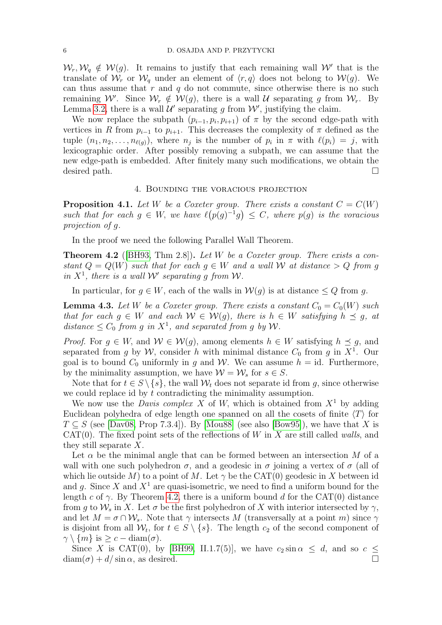$W_r, W_q \notin W(g)$ . It remains to justify that each remaining wall W' that is the translate of  $\mathcal{W}_r$  or  $\mathcal{W}_q$  under an element of  $\langle r, q \rangle$  does not belong to  $\mathcal{W}(g)$ . We can thus assume that  $r$  and  $q$  do not commute, since otherwise there is no such remaining W'. Since  $\mathcal{W}_r \notin \mathcal{W}(g)$ , there is a wall U separating g from  $\mathcal{W}_r$ . By Lemma [3.2,](#page-3-1) there is a wall  $\mathcal{U}'$  separating g from  $\mathcal{W}'$ , justifying the claim.

We now replace the subpath  $(p_{i-1}, p_i, p_{i+1})$  of  $\pi$  by the second edge-path with vertices in R from  $p_{i-1}$  to  $p_{i+1}$ . This decreases the complexity of  $\pi$  defined as the tuple  $(n_1, n_2, \ldots, n_{\ell(g)})$ , where  $n_j$  is the number of  $p_i$  in  $\pi$  with  $\ell(p_i) = j$ , with lexicographic order. After possibly removing a subpath, we can assume that the new edge-path is embedded. After finitely many such modifications, we obtain the desired path.

#### 4. Bounding the voracious projection

<span id="page-5-2"></span><span id="page-5-0"></span>**Proposition 4.1.** Let W be a Coxeter group. There exists a constant  $C = C(W)$ such that for each  $g \in W$ , we have  $\ell(p(g)^{-1}g) \leq C$ , where  $p(g)$  is the voracious *projection of* g*.*

In the proof we need the following Parallel Wall Theorem.

<span id="page-5-1"></span>**Theorem 4.2** ([\[BH93,](#page-8-3) Thm 2.8])**.** *Let* W *be a Coxeter group. There exists a constant*  $Q = Q(W)$  *such that for each*  $q \in W$  *and a wall* W *at distance* > Q *from* q in  $X^1$ , there is a wall W' separating g from W.

In particular, for  $g \in W$ , each of the walls in  $\mathcal{W}(g)$  is at distance  $\leq Q$  from g.

<span id="page-5-3"></span>**Lemma 4.3.** Let W be a Coxeter group. There exists a constant  $C_0 = C_0(W)$  such *that for each*  $g \in W$  *and each*  $W \in W(g)$ *, there is*  $h \in W$  *satisfying*  $h \preceq g$ *, at*  $distance \leq C_0$  *from* g *in*  $X^1$ *, and separated from g by W.* 

*Proof.* For  $g \in W$ , and  $W \in W(g)$ , among elements  $h \in W$  satisfying  $h \preceq g$ , and separated from g by W, consider h with minimal distance  $C_0$  from g in  $X^1$ . Our goal is to bound  $C_0$  uniformly in g and W. We can assume  $h = id$ . Furthermore, by the minimality assumption, we have  $\mathcal{W} = \mathcal{W}_s$  for  $s \in S$ .

Note that for  $t \in S \setminus \{s\}$ , the wall  $\mathcal{W}_t$  does not separate id from g, since otherwise we could replace id by t contradicting the minimality assumption.

We now use the *Davis complex* X of W, which is obtained from  $X<sup>1</sup>$  by adding Euclidean polyhedra of edge length one spanned on all the cosets of finite  $\langle T \rangle$  for  $T \subseteq S$  (see [\[Dav08,](#page-8-20) Prop 7.3.4]). By [\[Mou88\]](#page-8-21) (see also [\[Bow95\]](#page-8-22)), we have that X is CAT(0). The fixed point sets of the reflections of W in X are still called *walls*, and they still separate X.

Let  $\alpha$  be the minimal angle that can be formed between an intersection M of a wall with one such polyhedron  $\sigma$ , and a geodesic in  $\sigma$  joining a vertex of  $\sigma$  (all of which lie outside M) to a point of M. Let  $\gamma$  be the CAT(0) geodesic in X between id and q. Since X and  $X^1$  are quasi-isometric, we need to find a uniform bound for the length c of  $\gamma$ . By Theorem [4.2,](#page-5-1) there is a uniform bound d for the CAT(0) distance from q to  $\mathcal{W}_s$  in X. Let  $\sigma$  be the first polyhedron of X with interior intersected by  $\gamma$ , and let  $M = \sigma \cap \mathcal{W}_{s}$ . Note that  $\gamma$  intersects M (transversally at a point m) since  $\gamma$ is disjoint from all  $W_t$ , for  $t \in S \setminus \{s\}$ . The length  $c_2$  of the second component of  $\gamma \setminus \{m\}$  is  $\geq c - \text{diam}(\sigma)$ .

Since X is CAT(0), by [\[BH99,](#page-8-23) II.1.7(5)], we have  $c_2 \sin \alpha \leq d$ , and so  $c \leq$  $\text{diam}(\sigma) + d/\sin \alpha$ , as desired.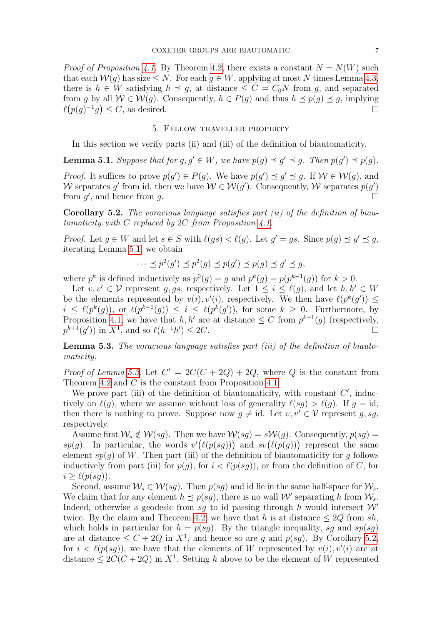*Proof of Proposition* [4.1.](#page-5-2) By Theorem [4.2,](#page-5-1) there exists a constant  $N = N(W)$  such that each  $W(q)$  has size  $\leq N$ . For each  $q \in W$ , applying at most N times Lemma [4.3,](#page-5-3) there is  $h \in W$  satisfying  $h \preceq g$ , at distance  $\leq C = C_0 N$  from g, and separated from g by all  $W \in \mathcal{W}(g)$ . Consequently,  $h \in P(g)$  and thus  $h \preceq p(g) \preceq g$ , implying  $\ell(p(g)^{-1}g) \leq C$ , as desired.

#### 5. Fellow traveller property

<span id="page-6-0"></span>In this section we verify parts (ii) and (iii) of the definition of biautomaticity.

<span id="page-6-1"></span>**Lemma 5.1.** *Suppose that for*  $g, g' \in W$ *, we have*  $p(g) \preceq g' \preceq g$ *. Then*  $p(g') \preceq p(g)$ *. Proof.* It suffices to prove  $p(g') \in P(g)$ . We have  $p(g') \preceq g' \preceq g$ . If  $W \in W(g)$ , and W separates g' from id, then we have  $W \in \mathcal{W}(g')$ . Consequently, W separates  $p(g')$ from  $g'$ , and hence from g.

<span id="page-6-3"></span>**Corollary 5.2.** *The voracious language satisfies part (ii) of the definition of biautomaticity with* C *replaced by* 2C *from Proposition [4.1.](#page-5-2)*

*Proof.* Let  $g \in W$  and let  $s \in S$  with  $\ell(gs) < \ell(g)$ . Let  $g' = gs$ . Since  $p(g) \preceq g' \preceq g$ , iterating Lemma [5.1,](#page-6-1) we obtain

$$
\cdots \preceq p^2(g') \preceq p^2(g) \preceq p(g') \preceq p(g) \preceq g' \preceq g,
$$

where  $p^k$  is defined inductively as  $p^0(g) = g$  and  $p^k(g) = p(p^{k-1}(g))$  for  $k > 0$ .

Let  $v, v' \in \mathcal{V}$  represent g, gs, respectively. Let  $1 \leq i \leq \ell(q)$ , and let  $h, h' \in W$ be the elements represented by  $v(i)$ ,  $v'(i)$ , respectively. We then have  $\ell(p^k(g')) \leq$  $i \leq \ell(p^k(g))$ , or  $\ell(p^{k+1}(g)) \leq i \leq \ell(p^k(g'))$ , for some  $k \geq 0$ . Furthermore, by Proposition [4.1,](#page-5-2) we have that h, h' are at distance  $\leq C$  from  $p^{k+1}(g)$  (respectively,  $p^{k+1}(g')$  in  $X^1$ , and so  $\ell(h^{-1}h') \leq 2C$ .

<span id="page-6-2"></span>**Lemma 5.3.** *The voracious language satisfies part (iii) of the definition of biautomaticity.*

*Proof of Lemma [5.3.](#page-6-2)* Let  $C' = 2C(C + 2Q) + 2Q$ , where Q is the constant from Theorem [4.2](#page-5-1) and C is the constant from Proposition [4.1.](#page-5-2)

We prove part (iii) of the definition of biautomaticity, with constant  $C'$ , inductively on  $\ell(q)$ , where we assume without loss of generality  $\ell(sq) > \ell(q)$ . If  $q = id$ , then there is nothing to prove. Suppose now  $g \neq id$ . Let  $v, v' \in V$  represent g, sg, respectively.

Assume first  $W_s \notin W(sq)$ . Then we have  $W(sq) = sW(q)$ . Consequently,  $p(sq)$ sp(g). In particular, the words  $v'(\ell(p(sg)))$  and  $sv(\ell(p(g)))$  represent the same element  $sp(g)$  of W. Then part (iii) of the definition of biautomaticity for g follows inductively from part (iii) for  $p(g)$ , for  $i < \ell(p(sg))$ , or from the definition of C, for  $i > \ell(p(sq)).$ 

Second, assume  $\mathcal{W}_s \in \mathcal{W}(sg)$ . Then  $p(sq)$  and id lie in the same half-space for  $\mathcal{W}_s$ . We claim that for any element  $h \preceq p(sg)$ , there is no wall W' separating h from  $\mathcal{W}_s$ . Indeed, otherwise a geodesic from sq to id passing through h would intersect  $\mathcal{W}'$ twice. By the claim and Theorem [4.2,](#page-5-1) we have that h is at distance  $\leq 2Q$  from sh, which holds in particular for  $h = p(sq)$ . By the triangle inequality, sq and sp(sq) are at distance  $\leq C + 2Q$  in  $X^1$ , and hence so are g and  $p(sg)$ . By Corollary [5.2,](#page-6-3) for  $i < \ell(p(sg))$ , we have that the elements of W represented by  $v(i), v'(i)$  are at distance  $\leq 2C(C+2Q)$  in  $X^1$ . Setting h above to be the element of W represented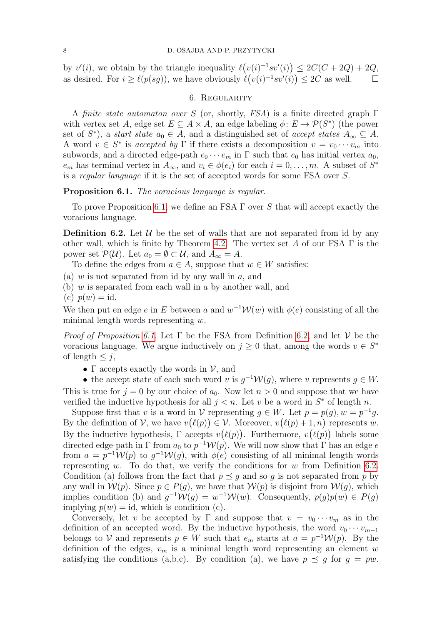by  $v'(i)$ , we obtain by the triangle inequality  $\ell(v(i)^{-1}sv'(i)) \leq 2C(C+2Q)+2Q$ , as desired. For  $i \ge \ell(p(sg))$ , we have obviously  $\ell(v(i)^{-1}sv'(i)) \le 2C$  as well.

# 6. Regularity

<span id="page-7-0"></span>A *finite state automaton over* S (or, shortly, *FSA*) is a finite directed graph Γ with vertex set A, edge set  $E \subseteq A \times A$ , an edge labeling  $\phi: E \to \mathcal{P}(S^*)$  (the power set of  $S^*$ ), a *start state*  $a_0 \in A$ , and a distinguished set of *accept states*  $A_{\infty} \subseteq A$ . A word  $v \in S^*$  is *accepted by*  $\Gamma$  if there exists a decomposition  $v = v_0 \cdots v_m$  into subwords, and a directed edge-path  $e_0 \cdots e_m$  in  $\Gamma$  such that  $e_0$  has initial vertex  $a_0$ ,  $e_m$  has terminal vertex in  $A_{\infty}$ , and  $v_i \in \phi(e_i)$  for each  $i = 0, \ldots, m$ . A subset of  $S^*$ is a *regular language* if it is the set of accepted words for some FSA over S.

# <span id="page-7-1"></span>**Proposition 6.1.** *The voracious language is regular.*

To prove Proposition [6.1,](#page-7-1) we define an FSA  $\Gamma$  over S that will accept exactly the voracious language.

<span id="page-7-2"></span>**Definition 6.2.** Let  $\mathcal{U}$  be the set of walls that are not separated from id by any other wall, which is finite by Theorem [4.2.](#page-5-1) The vertex set A of our FSA  $\Gamma$  is the power set  $\mathcal{P}(\mathcal{U})$ . Let  $a_0 = \emptyset \subset \mathcal{U}$ , and  $A_\infty = A$ .

To define the edges from  $a \in A$ , suppose that  $w \in W$  satisfies:

- (a) w is not separated from id by any wall in  $a$ , and
- (b) w is separated from each wall in a by another wall, and
- $(c)$   $p(w) = id$ .

We then put en edge e in E between a and  $w^{-1}W(w)$  with  $\phi(e)$  consisting of all the minimal length words representing  $w$ .

*Proof of Proposition [6.1.](#page-7-1)* Let Γ be the FSA from Definition [6.2,](#page-7-2) and let V be the voracious language. We argue inductively on  $j \geq 0$  that, among the words  $v \in S^*$ of length  $\leq j$ ,

•  $\Gamma$  accepts exactly the words in  $\mathcal{V}$ , and

• the accept state of each such word v is  $g^{-1}W(g)$ , where v represents  $g \in W$ . This is true for  $j = 0$  by our choice of  $a_0$ . Now let  $n > 0$  and suppose that we have verified the inductive hypothesis for all  $j < n$ . Let v be a word in  $S^*$  of length n.

Suppose first that v is a word in V representing  $g \in W$ . Let  $p = p(g)$ ,  $w = p^{-1}g$ . By the definition of V, we have  $v(\ell(p)) \in V$ . Moreover,  $v(\ell(p) + 1, n)$  represents w. By the inductive hypothesis,  $\Gamma$  accepts  $v(\ell(p))$ . Furthermore,  $v(\ell(p))$  labels some directed edge-path in  $\Gamma$  from  $a_0$  to  $p^{-1}W(p)$ . We will now show that  $\Gamma$  has an edge e from  $a = p^{-1} \mathcal{W}(p)$  to  $g^{-1} \mathcal{W}(g)$ , with  $\phi(e)$  consisting of all minimal length words representing w. To do that, we verify the conditions for w from Definition [6.2.](#page-7-2) Condition (a) follows from the fact that  $p \prec q$  and so q is not separated from p by any wall in  $\mathcal{W}(p)$ . Since  $p \in P(q)$ , we have that  $\mathcal{W}(p)$  is disjoint from  $\mathcal{W}(q)$ , which implies condition (b) and  $g^{-1} \mathcal{W}(g) = w^{-1} \mathcal{W}(w)$ . Consequently,  $p(g)p(w) \in P(g)$ implying  $p(w) = id$ , which is condition (c).

Conversely, let v be accepted by Γ and suppose that  $v = v_0 \cdots v_m$  as in the definition of an accepted word. By the inductive hypothesis, the word  $v_0 \cdots v_{m-1}$ belongs to V and represents  $p \in W$  such that  $e_m$  starts at  $a = p^{-1} \mathcal{W}(p)$ . By the definition of the edges,  $v_m$  is a minimal length word representing an element w satisfying the conditions (a,b,c). By condition (a), we have  $p \preceq g$  for  $g = pw$ .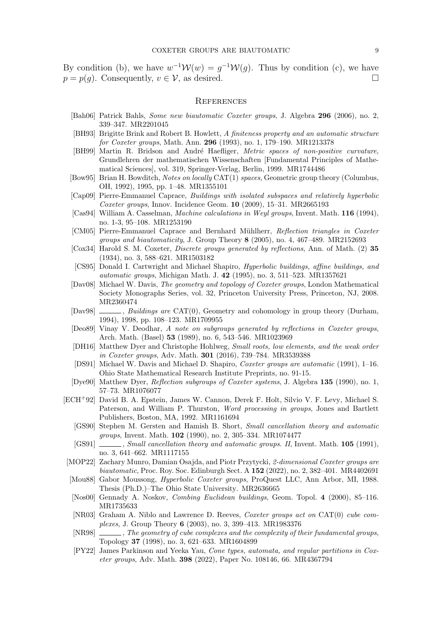By condition (b), we have  $w^{-1}W(w) = g^{-1}W(g)$ . Thus by condition (c), we have  $p = p(q)$ . Consequently,  $v \in V$ , as desired.

#### **REFERENCES**

- <span id="page-8-6"></span>[Bah06] Patrick Bahls, *Some new biautomatic Coxeter groups*, J. Algebra **296** (2006), no. 2, 339–347. MR2201045
- <span id="page-8-3"></span>[BH93] Brigitte Brink and Robert B. Howlett, *A finiteness property and an automatic structure for Coxeter groups*, Math. Ann. **296** (1993), no. 1, 179–190. MR1213378
- <span id="page-8-23"></span>[BH99] Martin R. Bridson and André Haefliger, *Metric spaces of non-positive curvature*, Grundlehren der mathematischen Wissenschaften [Fundamental Principles of Mathematical Sciences], vol. 319, Springer-Verlag, Berlin, 1999. MR1744486
- <span id="page-8-22"></span>[Bow95] Brian H. Bowditch, *Notes on locally* CAT(1) *spaces*, Geometric group theory (Columbus, OH, 1992), 1995, pp. 1–48. MR1355101
- <span id="page-8-8"></span>[Cap09] Pierre-Emmanuel Caprace, *Buildings with isolated subspaces and relatively hyperbolic Coxeter groups*, Innov. Incidence Geom. **10** (2009), 15–31. MR2665193
- <span id="page-8-10"></span>[Cas94] William A. Casselman, *Machine calculations in Weyl groups*, Invent. Math. **116** (1994), no. 1-3, 95–108. MR1253190
- <span id="page-8-7"></span>[CM05] Pierre-Emmanuel Caprace and Bernhard M¨uhlherr, *Reflection triangles in Coxeter groups and biautomaticity*, J. Group Theory **8** (2005), no. 4, 467–489. MR2152693
- <span id="page-8-0"></span>[Cox34] Harold S. M. Coxeter, *Discrete groups generated by reflections*, Ann. of Math. (2) **35** (1934), no. 3, 588–621. MR1503182
- <span id="page-8-13"></span>[CS95] Donald I. Cartwright and Michael Shapiro, *Hyperbolic buildings, affine buildings, and automatic groups*, Michigan Math. J. **42** (1995), no. 3, 511–523. MR1357621
- <span id="page-8-20"></span>[Dav08] Michael W. Davis, *The geometry and topology of Coxeter groups*, London Mathematical Society Monographs Series, vol. 32, Princeton University Press, Princeton, NJ, 2008. MR2360474
- <span id="page-8-14"></span>[Dav98]  $\qquad \qquad$ , *Buildings are* CAT(0), Geometry and cohomology in group theory (Durham, 1994), 1998, pp. 108–123. MR1709955
- <span id="page-8-19"></span>[Deo89] Vinay V. Deodhar, *A note on subgroups generated by reflections in Coxeter groups*, Arch. Math. (Basel) **53** (1989), no. 6, 543–546. MR1023969
- <span id="page-8-11"></span>[DH16] Matthew Dyer and Christophe Hohlweg, *Small roots, low elements, and the weak order in Coxeter groups*, Adv. Math. **301** (2016), 739–784. MR3539388
- <span id="page-8-2"></span>[DS91] Michael W. Davis and Michael D. Shapiro, *Coxeter groups are automatic* (1991), 1–16. Ohio State Mathematical Research Institute Preprints, no. 91-15.
- <span id="page-8-18"></span>[Dye90] Matthew Dyer, *Reflection subgroups of Coxeter systems*, J. Algebra **135** (1990), no. 1, 57–73. MR1076077
- <span id="page-8-15"></span><span id="page-8-1"></span>[ECH<sup>+</sup>92] David B. A. Epstein, James W. Cannon, Derek F. Holt, Silvio V. F. Levy, Michael S. Paterson, and William P. Thurston, *Word processing in groups*, Jones and Bartlett Publishers, Boston, MA, 1992. MR1161694
	- [GS90] Stephen M. Gersten and Hamish B. Short, *Small cancellation theory and automatic groups*, Invent. Math. **102** (1990), no. 2, 305–334. MR1074477
	- [GS91] , *Small cancellation theory and automatic groups. II*, Invent. Math. **105** (1991), no. 3, 641–662. MR1117155
- <span id="page-8-16"></span><span id="page-8-9"></span>[MOP22] Zachary Munro, Damian Osajda, and Piotr Przytycki, *2-dimensional Coxeter groups are biautomatic*, Proc. Roy. Soc. Edinburgh Sect. A **152** (2022), no. 2, 382–401. MR4402691
- <span id="page-8-21"></span>[Mou88] Gabor Moussong, *Hyperbolic Coxeter groups*, ProQuest LLC, Ann Arbor, MI, 1988. Thesis (Ph.D.)–The Ohio State University. MR2636665
- <span id="page-8-17"></span>[Nos00] Gennady A. Noskov, *Combing Euclidean buildings*, Geom. Topol. **4** (2000), 85–116. MR1735633
- <span id="page-8-5"></span>[NR03] Graham A. Niblo and Lawrence D. Reeves, *Coxeter groups act on* CAT(0) *cube complexes*, J. Group Theory **6** (2003), no. 3, 399–413. MR1983376
- <span id="page-8-4"></span>[NR98] , *The geometry of cube complexes and the complexity of their fundamental groups*, Topology **37** (1998), no. 3, 621–633. MR1604899
- <span id="page-8-12"></span>[PY22] James Parkinson and Yeeka Yau, *Cone types, automata, and regular partitions in Coxeter groups*, Adv. Math. **398** (2022), Paper No. 108146, 66. MR4367794